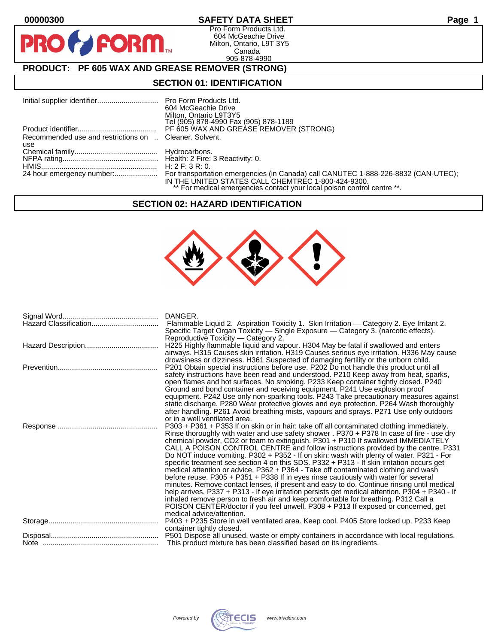$\bullet$ 

PF

## **00000300 SAFETY DATA SHEET Page 1**

Pro Form Products Ltd. 604 McGeachie Drive Milton, Ontario, L9T 3Y5 Canada 905-878-4990

# **PRODUCT: PF 605 WAX AND GREASE REMOVER (STRONG)**

**FORM.** 

### **SECTION 01: IDENTIFICATION**

| 604 McGeachie Drive<br>Milton, Ontario L9T3Y5<br>Tel (905) 878-4990 Fax (905) 878-1189                                        |
|-------------------------------------------------------------------------------------------------------------------------------|
| PF 605 WAX AND GREASE REMOVER (STRONG)                                                                                        |
| Recommended use and restrictions on  Cleaner. Solvent.                                                                        |
|                                                                                                                               |
|                                                                                                                               |
|                                                                                                                               |
|                                                                                                                               |
| IN THE UNITED STATES CALL CHEMTREC 1-800-424-9300.<br>** For medical emergencies contact your local poison control centre **. |
|                                                                                                                               |

## **SECTION 02: HAZARD IDENTIFICATION**



| DANGER.                                                                                        |
|------------------------------------------------------------------------------------------------|
|                                                                                                |
| Specific Target Organ Toxicity — Single Exposure — Category 3. (narcotic effects).             |
| Reproductive Toxicity — Category 2.                                                            |
| H225 Highly flammable liquid and vapour. H304 May be fatal if swallowed and enters             |
| airways. H315 Causes skin irritation. H319 Causes serious eye irritation. H336 May cause       |
| drowsiness or dizziness. H361 Suspected of damaging fertility or the unborn child.             |
| P201 Obtain special instructions before use. P202 Do not handle this product until all         |
| safety instructions have been read and understood. P210 Keep away from heat, sparks,           |
| open flames and hot surfaces. No smoking. P233 Keep container tightly closed. P240             |
| Ground and bond container and receiving equipment. P241 Use explosion proof                    |
| equipment. P242 Use only non-sparking tools. P243 Take precautionary measures against          |
| static discharge. P280 Wear protective gloves and eye protection. P264 Wash thoroughly         |
| after handling. P261 Avoid breathing mists, vapours and sprays. P271 Use only outdoors         |
| or in a well ventilated area.                                                                  |
| P303 + P361 + P353 If on skin or in hair: take off all contaminated clothing immediately.      |
| Rinse thoroughly with water and use safety shower . P370 + P378 In case of fire - use dry      |
| chemical powder, CO2 or foam to extinguish. P301 + P310 If swallowed IMMEDIATELY               |
| CALL A POISON CONTROL CENTRE and follow instructions provided by the centre. P331              |
| Do NOT induce vomiting. P302 + P352 - If on skin: wash with plenty of water. P321 - For        |
| specific treatment see section 4 on this SDS. P332 + P313 - If skin irritation occurs get      |
| medical attention or advice. P362 + P364 - Take off contaminated clothing and wash             |
| before reuse. P305 + P351 + P338 If in eyes rinse cautiously with water for several            |
| minutes. Remove contact lenses, if present and easy to do. Continue rinsing until medical      |
| help arrives. P337 + P313 - If eye irritation persists get medical attention. P304 + P340 - If |
| inhaled remove person to fresh air and keep comfortable for breathing. P312 Call a             |
| POISON CENTER/doctor if you feel unwell. P308 + P313 If exposed or concerned, get              |
| medical advice/attention.                                                                      |
| P403 + P235 Store in well ventilated area. Keep cool. P405 Store locked up. P233 Keep          |
| container tightly closed.                                                                      |
| P501 Dispose all unused, waste or empty containers in accordance with local regulations.       |
| This product mixture has been classified based on its ingredients.                             |

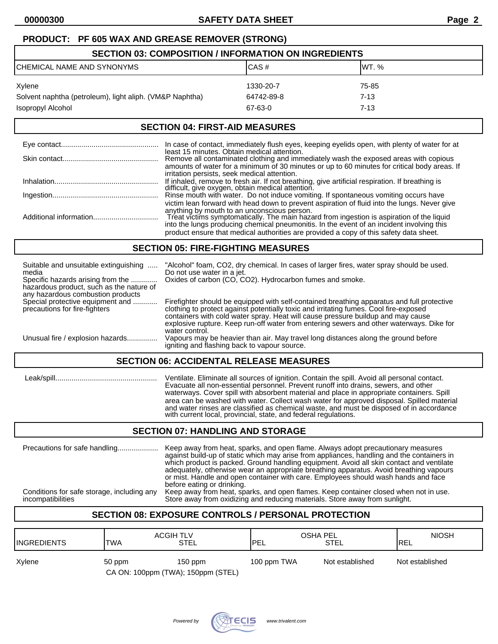## **PRODUCT: PF 605 WAX AND GREASE REMOVER (STRONG)**

| <b>SECTION 03: COMPOSITION / INFORMATION ON INGREDIENTS</b> |            |          |  |
|-------------------------------------------------------------|------------|----------|--|
| CHEMICAL NAME AND SYNONYMS                                  | CAS#       | IWT. %   |  |
| Xylene                                                      | 1330-20-7  | 75-85    |  |
| Solvent naphtha (petroleum), light aliph. (VM&P Naphtha)    | 64742-89-8 | 7-13     |  |
| Isopropyl Alcohol                                           | 67-63-0    | $7 - 13$ |  |

### **SECTION 04: FIRST-AID MEASURES**

| In case of contact, immediately flush eyes, keeping eyelids open, with plenty of water for at                                                                                                                                                                                                                                                                                                                                   |
|---------------------------------------------------------------------------------------------------------------------------------------------------------------------------------------------------------------------------------------------------------------------------------------------------------------------------------------------------------------------------------------------------------------------------------|
| least 15 minutes. Obtain medical attention.<br>Remove all contaminated clothing and immediately wash the exposed areas with copious<br>amounts of water for a minimum of 30 minutes or up to 60 minutes for critical body areas. If                                                                                                                                                                                             |
| irritation persists, seek medical attention.<br>If inhaled, remove to fresh air. If not breathing, give artificial respiration. If breathing is<br>difficult, give oxygen, obtain medical attention.                                                                                                                                                                                                                            |
| Rinse mouth with water. Do not induce vomiting. If spontaneous vomiting occurs have                                                                                                                                                                                                                                                                                                                                             |
| victim lean forward with head down to prevent aspiration of fluid into the lungs. Never give<br>anything by mouth to an unconscious person.<br>Treat victims symptomatically. The main hazard from ingestion is aspiration of the liquid<br>into the lungs producing chemical pneumonitis. In the event of an incident involving this<br>product ensure that medical authorities are provided a copy of this safety data sheet. |

### **SECTION 05: FIRE-FIGHTING MEASURES**

| Suitable and unsuitable extinguishing<br>media<br>Specific hazards arising from the | "Alcohol" foam, CO2, dry chemical. In cases of larger fires, water spray should be used.<br>Do not use water in a jet.<br>Oxides of carbon (CO, CO2). Hydrocarbon fumes and smoke.                                                                                                                                                                                                    |  |
|-------------------------------------------------------------------------------------|---------------------------------------------------------------------------------------------------------------------------------------------------------------------------------------------------------------------------------------------------------------------------------------------------------------------------------------------------------------------------------------|--|
| hazardous product, such as the nature of<br>any hazardous combustion products       |                                                                                                                                                                                                                                                                                                                                                                                       |  |
| Special protective equipment and<br>precautions for fire-fighters                   | Firefighter should be equipped with self-contained breathing apparatus and full protective<br>clothing to protect against potentially toxic and irritating fumes. Cool fire-exposed<br>containers with cold water spray. Heat will cause pressure buildup and may cause<br>explosive rupture. Keep run-off water from entering sewers and other waterways. Dike for<br>water control. |  |
| Unusual fire / explosion hazards                                                    | Vapours may be heavier than air. May travel long distances along the ground before<br>igniting and flashing back to vapour source.                                                                                                                                                                                                                                                    |  |
| <b>SECTION 06: ACCIDENTAL RELEASE MEASURES</b>                                      |                                                                                                                                                                                                                                                                                                                                                                                       |  |

 Leak/spill.................................................. Ventilate. Eliminate all sources of ignition. Contain the spill. Avoid all personal contact. Evacuate all non-essential personnel. Prevent runoff into drains, sewers, and other waterways. Cover spill with absorbent material and place in appropriate containers. Spill area can be washed with water. Collect wash water for approved disposal. Spilled material and water rinses are classified as chemical waste, and must be disposed of in accordance with current local, provincial, state, and federal regulations.

# **SECTION 07: HANDLING AND STORAGE**

| Store away from oxidizing and reducing materials. Store away from sunlight. | before eating or drinking.<br>Conditions for safe storage, including any<br>incompatibilities | against build-up of static which may arise from appliances, handling and the containers in<br>which product is packed. Ground handling equipment. Avoid all skin contact and ventilate<br>adequately, otherwise wear an appropriate breathing apparatus. Avoid breathing vapours<br>or mist. Handle and open container with care. Employees should wash hands and face<br>Keep away from heat, sparks, and open flames. Keep container closed when not in use. |
|-----------------------------------------------------------------------------|-----------------------------------------------------------------------------------------------|----------------------------------------------------------------------------------------------------------------------------------------------------------------------------------------------------------------------------------------------------------------------------------------------------------------------------------------------------------------------------------------------------------------------------------------------------------------|
|-----------------------------------------------------------------------------|-----------------------------------------------------------------------------------------------|----------------------------------------------------------------------------------------------------------------------------------------------------------------------------------------------------------------------------------------------------------------------------------------------------------------------------------------------------------------------------------------------------------------------------------------------------------------|

# **SECTION 08: EXPOSURE CONTROLS / PERSONAL PROTECTION**

| <b>IINGREDIENTS</b> | <b>ACGIH TLV</b><br><b>TWA</b>               | STEL      | OSHA PEL<br><b>IPEL</b> | <b>STEL</b>     | <b>NIOSH</b><br><b>IREL</b> |
|---------------------|----------------------------------------------|-----------|-------------------------|-----------------|-----------------------------|
| Xylene              | 50 ppm<br>CA ON: 100ppm (TWA); 150ppm (STEL) | $150$ ppm | 100 ppm TWA             | Not established | Not established             |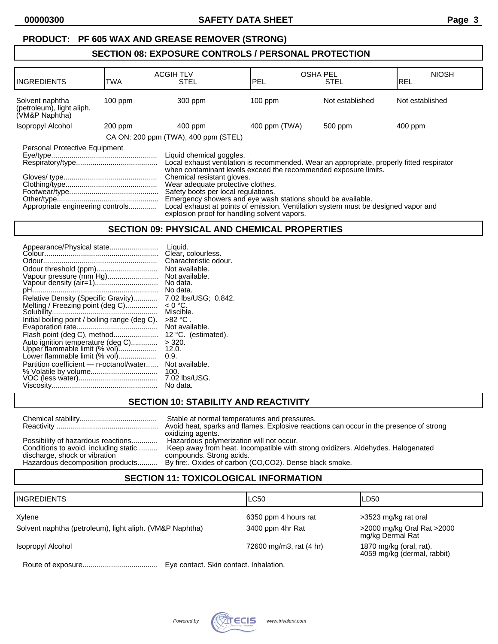# **SECTION 08: EXPOSURE CONTROLS / PERSONAL PROTECTION**

| <b>INGREDIENTS</b>                                                                                                                                                                                                                                                                                                                                                                                                                                                                                                                                                            | TWA       | <b>ACGIH TLV</b><br><b>STEL</b>      | <b>OSHA PEL</b><br>lpel | <b>STEL</b>     | <b>NIOSH</b><br>IREL |
|-------------------------------------------------------------------------------------------------------------------------------------------------------------------------------------------------------------------------------------------------------------------------------------------------------------------------------------------------------------------------------------------------------------------------------------------------------------------------------------------------------------------------------------------------------------------------------|-----------|--------------------------------------|-------------------------|-----------------|----------------------|
| Solvent naphtha<br>(petroleum), light aliph.<br>(VM&P Naphtha)                                                                                                                                                                                                                                                                                                                                                                                                                                                                                                                | $100$ ppm | 300 ppm                              | $100$ ppm               | Not established | Not established      |
| Isopropyl Alcohol                                                                                                                                                                                                                                                                                                                                                                                                                                                                                                                                                             | 200 ppm   | $400$ ppm                            | 400 ppm (TWA)           | 500 ppm         | 400 ppm              |
|                                                                                                                                                                                                                                                                                                                                                                                                                                                                                                                                                                               |           | CA ON: 200 ppm (TWA), 400 ppm (STEL) |                         |                 |                      |
| Personal Protective Equipment<br>Liquid chemical goggles.<br>Local exhaust ventilation is recommended. Wear an appropriate, properly fitted respirator<br>when contaminant levels exceed the recommended exposure limits.<br>Chemical resistant gloves.<br>Wear adequate protective clothes.<br>Safety boots per local regulations.<br>Emergency showers and eye wash stations should be available.<br>Local exhaust at points of emission. Ventilation system must be designed vapor and<br>Appropriate engineering controls<br>explosion proof for handling solvent vapors. |           |                                      |                         |                 |                      |

### **SECTION 09: PHYSICAL AND CHEMICAL PROPERTIES**

### **SECTION 10: STABILITY AND REACTIVITY**

|                                       | Stable at normal temperatures and pressures.<br>Avoid heat, sparks and flames. Explosive reactions can occur in the presence of strong<br>oxidizing agents. |
|---------------------------------------|-------------------------------------------------------------------------------------------------------------------------------------------------------------|
| Possibility of hazardous reactions    | Hazardous polymerization will not occur.                                                                                                                    |
| Conditions to avoid, including static | Keep away from heat. Incompatible with strong oxidizers. Aldehydes. Halogenated                                                                             |
| discharge, shock or vibration         | compounds. Strong acids.                                                                                                                                    |
| Hazardous decomposition products      | By fire: Oxides of carbon (CO,CO2). Dense black smoke.                                                                                                      |

# **SECTION 11: TOXICOLOGICAL INFORMATION**

| <b>INGREDIENTS</b>                                       | LC50                                   | ILD50                                                  |
|----------------------------------------------------------|----------------------------------------|--------------------------------------------------------|
| Xylene                                                   | 6350 ppm 4 hours rat                   | >3523 mg/kg rat oral                                   |
| Solvent naphtha (petroleum), light aliph. (VM&P Naphtha) | 3400 ppm 4hr Rat                       | >2000 mg/kg Oral Rat >2000<br>mg/kg Dermal Rat         |
| Isopropyl Alcohol                                        | 72600 mg/m3, rat (4 hr)                | 1870 mg/kg (oral, rat).<br>4059 mg/kg (dermal, rabbit) |
| Doute of overgours                                       | Eug contact, Clair contact, Inholation |                                                        |

Route of exposure..................................... Eye contact. Skin contact. Inhalation.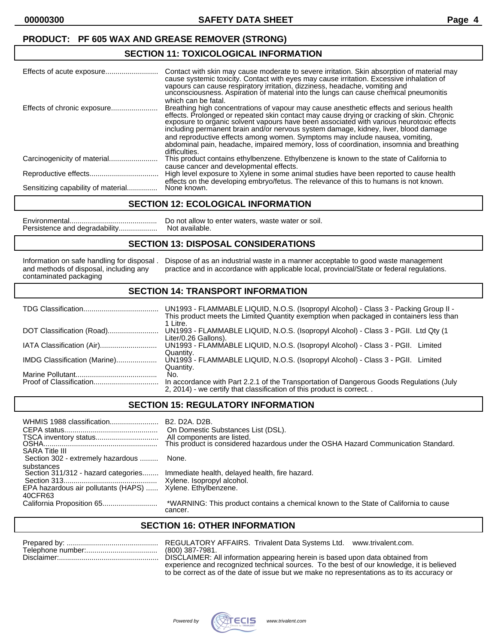### **PRODUCT: PF 605 WAX AND GREASE REMOVER (STRONG)**

### **SECTION 11: TOXICOLOGICAL INFORMATION**

|                                    | Contact with skin may cause moderate to severe irritation. Skin absorption of material may<br>cause systemic toxicity. Contact with eyes may cause irritation. Excessive inhalation of<br>vapours can cause respiratory irritation, dizziness, headache, vomiting and<br>unconsciousness. Aspiration of material into the lungs can cause chemical pneumonitis<br>which can be fatal.                                                                   |
|------------------------------------|---------------------------------------------------------------------------------------------------------------------------------------------------------------------------------------------------------------------------------------------------------------------------------------------------------------------------------------------------------------------------------------------------------------------------------------------------------|
| Effects of chronic exposure        | Breathing high concentrations of vapour may cause anesthetic effects and serious health<br>effects. Prolonged or repeated skin contact may cause drying or cracking of skin. Chronic<br>exposure to organic solvent vapours have been associated with various neurotoxic effects<br>including permanent brain and/or nervous system damage, kidney, liver, blood damage<br>and reproductive effects among women. Symptoms may include nausea, vomiting, |
|                                    | abdominal pain, headache, impaired memory, loss of coordination, insomnia and breathing<br>difficulties.                                                                                                                                                                                                                                                                                                                                                |
|                                    | This product contains ethylbenzene. Ethylbenzene is known to the state of California to                                                                                                                                                                                                                                                                                                                                                                 |
|                                    | cause cancer and developmental effects.<br>High level exposure to Xylene in some animal studies have been reported to cause health<br>effects on the developing embryo/fetus. The relevance of this to humans is not known.                                                                                                                                                                                                                             |
| Sensitizing capability of material | None known.                                                                                                                                                                                                                                                                                                                                                                                                                                             |

### **SECTION 12: ECOLOGICAL INFORMATION**

Environmental........................................... Do not allow to enter waters, waste water or soil. Persistence and degradability...................

### **SECTION 13: DISPOSAL CONSIDERATIONS**

contaminated packaging

Information on safe handling for disposal . Dispose of as an industrial waste in a manner acceptable to good waste management<br>and methods of disposal, including any practice and in accordance with applicable local, provinc practice and in accordance with applicable local, provincial/State or federal regulations.

### **SECTION 14: TRANSPORT INFORMATION**

|                              | UN1993 - FLAMMABLE LIQUID, N.O.S. (Isopropyl Alcohol) - Class 3 - Packing Group II -<br>This product meets the Limited Quantity exemption when packaged in containers less than<br>1 Litre. |
|------------------------------|---------------------------------------------------------------------------------------------------------------------------------------------------------------------------------------------|
| DOT Classification (Road)    | UN1993 - FLAMMABLE LIQUID, N.O.S. (Isopropyl Alcohol) - Class 3 - PGII. Ltd Qty (1<br>Liter/0.26 Gallons).                                                                                  |
|                              | UN1993 - FLAMMABLE LIQUID, N.O.S. (Isopropyl Alcohol) - Class 3 - PGII.<br>Limited<br>Quantity.                                                                                             |
| IMDG Classification (Marine) | UN1993 - FLAMMABLE LIQUID, N.O.S. (Isopropyl Alcohol) - Class 3 - PGII. Limited<br>Quantity.                                                                                                |
|                              | No.<br>In accordance with Part 2.2.1 of the Transportation of Dangerous Goods Regulations (July<br>2, 2014) - we certify that classification of this product is correct                     |
|                              |                                                                                                                                                                                             |

### **SECTION 15: REGULATORY INFORMATION**

| WHMIS 1988 classification<br><b>SARA Title III</b>                                                  | B <sub>2</sub> . D <sub>2</sub> A. D <sub>2</sub> B.<br>On Domestic Substances List (DSL).<br>All components are listed.<br>This product is considered hazardous under the OSHA Hazard Communication Standard. |
|-----------------------------------------------------------------------------------------------------|----------------------------------------------------------------------------------------------------------------------------------------------------------------------------------------------------------------|
| Section 302 - extremely hazardous                                                                   | None.                                                                                                                                                                                                          |
| substances<br>Section 311/312 - hazard categories<br>EPA hazardous air pollutants (HAPS)<br>40CFR63 | Immediate health, delayed health, fire hazard.<br>Xylene. Ethylbenzene.                                                                                                                                        |
|                                                                                                     | *WARNING: This product contains a chemical known to the State of California to cause<br>cancer.                                                                                                                |

### **SECTION 16: OTHER INFORMATION**

REGULATORY AFFAIRS. Trivalent Data Systems Ltd. www.trivalent.com. (800) 387-7981. DISCLAIMER: All information appearing herein is based upon data obtained from experience and recognized technical sources. To the best of our knowledge, it is believed to be correct as of the date of issue but we make no representations as to its accuracy or